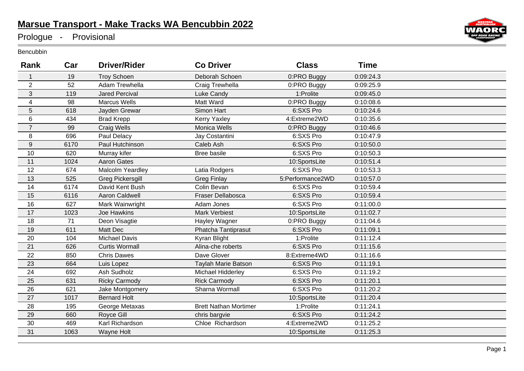## **Marsue Transport - Make Tracks WA Bencubbin 2022**

Prologue - Provisional

Bencubbin

| Rank                    | Car  | <b>Driver/Rider</b>     | <b>Co Driver</b>             | <b>Class</b>     | <b>Time</b> |  |
|-------------------------|------|-------------------------|------------------------------|------------------|-------------|--|
| $\mathbf{1}$            | 19   | <b>Troy Schoen</b>      | Deborah Schoen               | 0:PRO Buggy      | 0:09:24.3   |  |
| $\overline{2}$          | 52   | Adam Trewhella          | Craig Trewhella              | 0:PRO Buggy      | 0:09:25.9   |  |
| 3                       | 119  | <b>Jared Percival</b>   | Luke Candy                   | 1:Prolite        | 0:09:45.0   |  |
| $\overline{\mathbf{4}}$ | 98   | <b>Marcus Wells</b>     | Matt Ward                    | 0:PRO Buggy      | 0:10:08.6   |  |
| 5                       | 618  | Jayden Grewar           | Simon Hart                   | 6:SXS Pro        | 0:10:24.6   |  |
| 6                       | 434  | <b>Brad Krepp</b>       | <b>Kerry Yaxley</b>          | 4:Extreme2WD     | 0:10:35.6   |  |
| $\overline{7}$          | 99   | <b>Craig Wells</b>      | Monica Wells                 | 0:PRO Buggy      | 0:10:46.6   |  |
| 8                       | 696  | Paul Delacy             | Jay Costantini               | 6:SXS Pro        | 0:10:47.9   |  |
| $\boldsymbol{9}$        | 6170 | Paul Hutchinson         | Caleb Ash                    | 6:SXS Pro        | 0:10:50.0   |  |
| 10                      | 620  | Murray kifer            | Bree basile                  | 6:SXS Pro        | 0:10:50.3   |  |
| 11                      | 1024 | <b>Aaron Gates</b>      |                              | 10:SportsLite    | 0:10:51.4   |  |
| 12                      | 674  | Malcolm Yeardley        | Latia Rodgers                | 6:SXS Pro        | 0:10:53.3   |  |
| 13                      | 525  | <b>Greg Pickersgill</b> | <b>Greg Finlay</b>           | 5:Performance2WD | 0:10:57.0   |  |
| 14                      | 6174 | David Kent Bush         | Colin Bevan                  | 6:SXS Pro        | 0:10:59.4   |  |
| 15                      | 6116 | <b>Aaron Caldwell</b>   | Fraser Dellabosca            | 6:SXS Pro        | 0:10:59.4   |  |
| 16                      | 627  | Mark Wainwright         | Adam Jones                   | 6:SXS Pro        | 0:11:00.0   |  |
| 17                      | 1023 | <b>Joe Hawkins</b>      | <b>Mark Verbiest</b>         | 10:SportsLite    | 0:11:02.7   |  |
| 18                      | 71   | Deon Visagtie           | Hayley Wagner                | 0:PRO Buggy      | 0:11:04.6   |  |
| 19                      | 611  | Matt Dec                | Phatcha Tantiprasut          | 6:SXS Pro        | 0:11:09.1   |  |
| 20                      | 104  | <b>Michael Davis</b>    | Kyran Blight                 | 1:Prolite        | 0:11:12.4   |  |
| 21                      | 626  | <b>Curtis Wormall</b>   | Alina-che roberts            | 6:SXS Pro        | 0:11:15.6   |  |
| 22                      | 850  | <b>Chris Dawes</b>      | Dave Glover                  | 8:Extreme4WD     | 0:11:16.6   |  |
| 23                      | 664  | Luis Lopez              | Taylah Marie Batson          | 6:SXS Pro        | 0:11:19.1   |  |
| 24                      | 692  | Ash Sudholz             | Michael Hidderley            | 6:SXS Pro        | 0:11:19.2   |  |
| 25                      | 631  | <b>Ricky Carmody</b>    | <b>Rick Carmody</b>          | 6:SXS Pro        | 0:11:20.1   |  |
| 26                      | 621  | Jake Montgomery         | Sharna Wormall               | 6:SXS Pro        | 0:11:20.2   |  |
| 27                      | 1017 | <b>Bernard Holt</b>     |                              | 10:SportsLite    | 0:11:20.4   |  |
| 28                      | 195  | George Metaxas          | <b>Brett Nathan Mortimer</b> | 1:Prolite        | 0:11:24.1   |  |
| 29                      | 660  | Royce Gill              | chris bargvie                | 6:SXS Pro        | 0:11:24.2   |  |
| 30                      | 469  | Karl Richardson         | Chloe Richardson             | 4:Extreme2WD     | 0:11:25.2   |  |
| 31                      | 1063 | Wayne Holt              |                              | 10:SportsLite    | 0:11:25.3   |  |